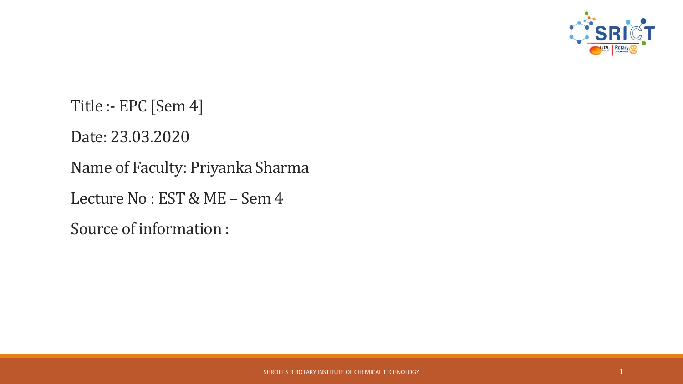

Title :- EPC [Sem 4] Date: 23.03.2020 Name of Faculty: Priyanka Sharma Lecture No : EST & ME – Sem 4 Source of information :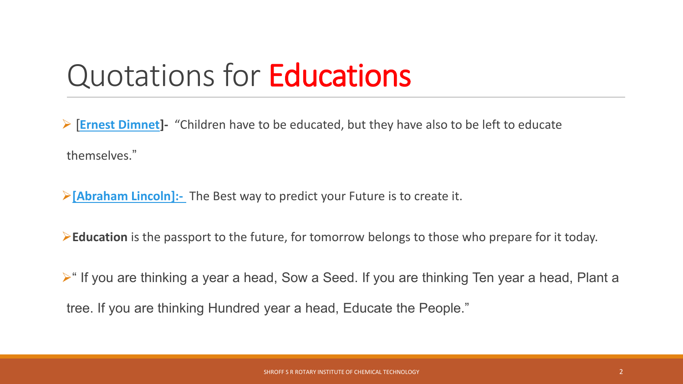### Quotations for Educations

[**[Ernest Dimnet\]](http://www.brainyquote.com/quotes/quotes/e/ernestdimn404995.html)-** "Children have to be educated, but they have also to be left to educate

themselves."

**[\[Abraham Lincoln\]:-](http://www.google.com.au/url?sa=t&rct=j&q=abraham lincoln wikipedia&source=web&cd=1&sqi=2&ved=0CCsQFjAA&url=http://en.wikipedia.org/wiki/Abraham_Lincoln&ei=ndg8T4auFYzHmQWY5PjJBw&usg=AFQjCNFFSLWGlw9FLEOroEjpI2X_yjCSBg)** The Best way to predict your Future is to create it.

**Education** is the passport to the future, for tomorrow belongs to those who prepare for it today.

 $\triangleright$ " If you are thinking a year a head, Sow a Seed. If you are thinking Ten year a head, Plant a tree. If you are thinking Hundred year a head, Educate the People."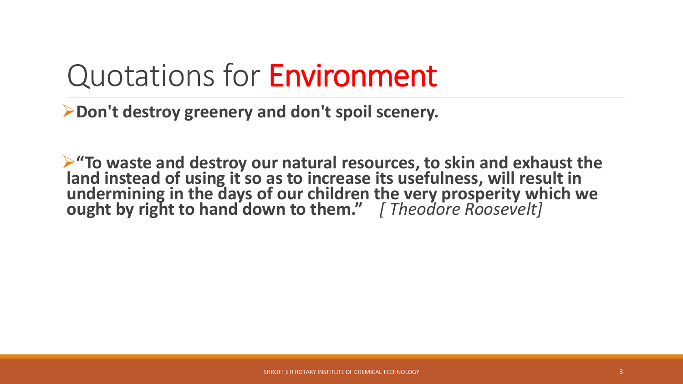# Quotations for Environment

**Don't destroy greenery and don't spoil scenery.**

**"To waste and destroy our natural resources, to skin and exhaust the**  land instead of using it so as to increase its usefulness, will result in **undermining in the days of our children the very prosperity which we ought by right to hand down to them."** *[ Theodore Roosevelt]*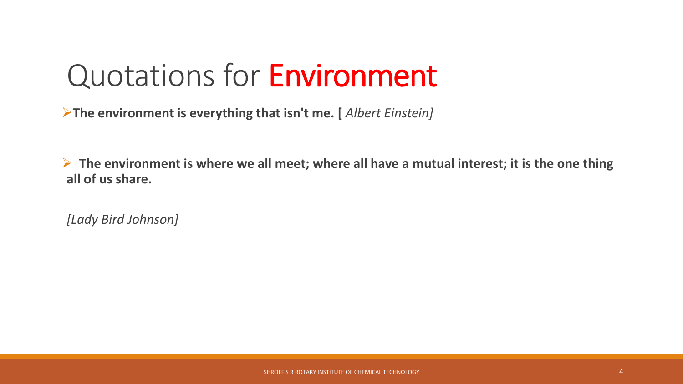# Quotations for Environment

**The environment is everything that isn't me. [** *Albert Einstein]*

 **The environment is where we all meet; where all have a mutual interest; it is the one thing all of us share.**

*[Lady Bird Johnson]*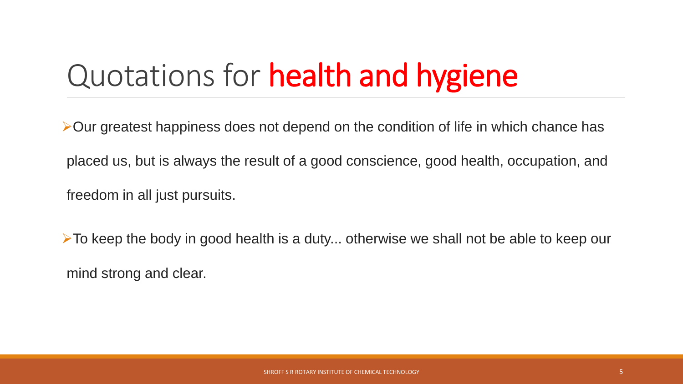# Quotations for health and hygiene

 $\triangleright$  Our greatest happiness does not depend on the condition of life in which chance has

placed us, but is always the result of a good conscience, good health, occupation, and freedom in all just pursuits.

 $\triangleright$  To keep the body in good health is a duty... otherwise we shall not be able to keep our mind strong and clear.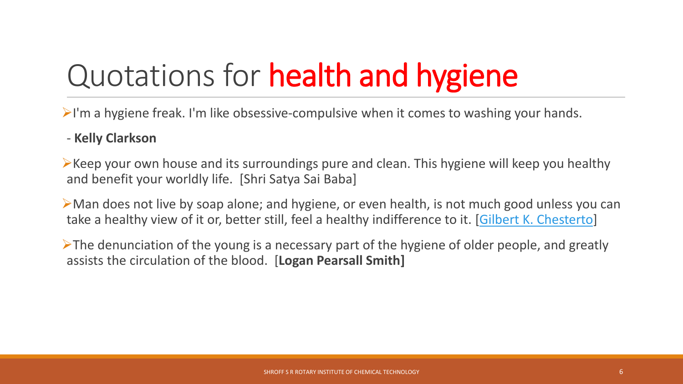# Quotations for health and hygiene

 $\triangleright$ I'm a hygiene freak. I'm like obsessive-compulsive when it comes to washing your hands.

#### - **Kelly Clarkson**

 $\triangleright$  Keep your own house and its surroundings pure and clean. This hygiene will keep you healthy and benefit your worldly life. [Shri Satya Sai Baba]

Man does not live by soap alone; and hygiene, or even health, is not much good unless you can take a healthy view of it or, better still, feel a healthy indifference to it. [[Gilbert K. Chesterto\]](http://www.famousquotes123.com/gilbert-k-chesterton-quotes.html)

 $\triangleright$ The denunciation of the young is a necessary part of the hygiene of older people, and greatly assists the circulation of the blood. [**Logan Pearsall Smith]**